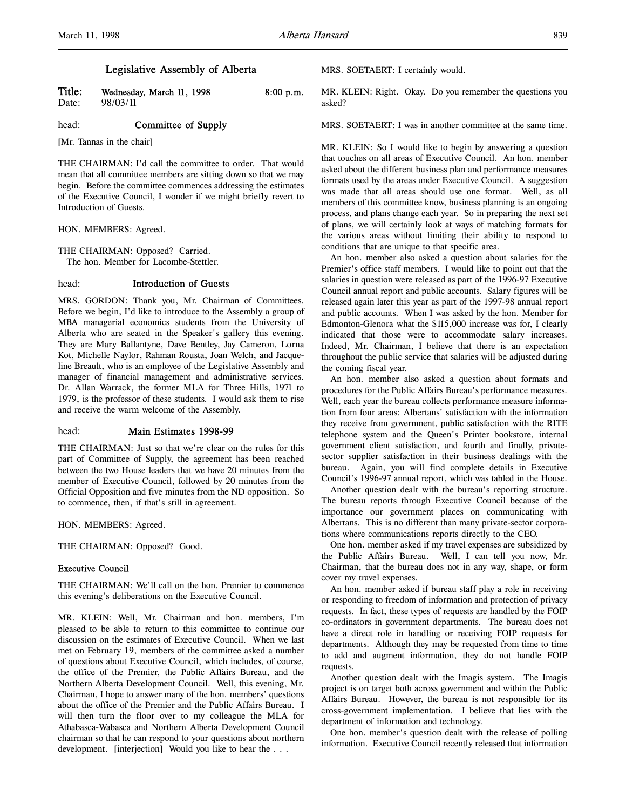Title: Wednesday, March 11, 1998 8:00 p.m.<br>Date:  $98/03/11$ 98/03/11

head: **Committee of Supply** 

[Mr. Tannas in the chair]

THE CHAIRMAN: I'd call the committee to order. That would mean that all committee members are sitting down so that we may begin. Before the committee commences addressing the estimates of the Executive Council, I wonder if we might briefly revert to Introduction of Guests.

HON. MEMBERS: Agreed.

THE CHAIRMAN: Opposed? Carried. The hon. Member for Lacombe-Stettler.

## head: Introduction of Guests

MRS. GORDON: Thank you, Mr. Chairman of Committees. Before we begin, I'd like to introduce to the Assembly a group of MBA managerial economics students from the University of Alberta who are seated in the Speaker's gallery this evening. They are Mary Ballantyne, Dave Bentley, Jay Cameron, Lorna Kot, Michelle Naylor, Rahman Rousta, Joan Welch, and Jacqueline Breault, who is an employee of the Legislative Assembly and manager of financial management and administrative services. Dr. Allan Warrack, the former MLA for Three Hills, 1971 to 1979, is the professor of these students. I would ask them to rise and receive the warm welcome of the Assembly.

# head: Main Estimates 1998-99

THE CHAIRMAN: Just so that we're clear on the rules for this part of Committee of Supply, the agreement has been reached between the two House leaders that we have 20 minutes from the member of Executive Council, followed by 20 minutes from the Official Opposition and five minutes from the ND opposition. So to commence, then, if that's still in agreement.

HON. MEMBERS: Agreed.

THE CHAIRMAN: Opposed? Good.

## Executive Council

THE CHAIRMAN: We'll call on the hon. Premier to commence this evening's deliberations on the Executive Council.

MR. KLEIN: Well, Mr. Chairman and hon. members, I'm pleased to be able to return to this committee to continue our discussion on the estimates of Executive Council. When we last met on February 19, members of the committee asked a number of questions about Executive Council, which includes, of course, the office of the Premier, the Public Affairs Bureau, and the Northern Alberta Development Council. Well, this evening, Mr. Chairman, I hope to answer many of the hon. members' questions about the office of the Premier and the Public Affairs Bureau. I will then turn the floor over to my colleague the MLA for Athabasca-Wabasca and Northern Alberta Development Council chairman so that he can respond to your questions about northern development. [interjection] Would you like to hear the . . .

MRS. SOETAERT: I certainly would.

MR. KLEIN: Right. Okay. Do you remember the questions you asked?

MRS. SOETAERT: I was in another committee at the same time.

MR. KLEIN: So I would like to begin by answering a question that touches on all areas of Executive Council. An hon. member asked about the different business plan and performance measures formats used by the areas under Executive Council. A suggestion was made that all areas should use one format. Well, as all members of this committee know, business planning is an ongoing process, and plans change each year. So in preparing the next set of plans, we will certainly look at ways of matching formats for the various areas without limiting their ability to respond to conditions that are unique to that specific area.

An hon. member also asked a question about salaries for the Premier's office staff members. I would like to point out that the salaries in question were released as part of the 1996-97 Executive Council annual report and public accounts. Salary figures will be released again later this year as part of the 1997-98 annual report and public accounts. When I was asked by the hon. Member for Edmonton-Glenora what the \$115,000 increase was for, I clearly indicated that those were to accommodate salary increases. Indeed, Mr. Chairman, I believe that there is an expectation throughout the public service that salaries will be adjusted during the coming fiscal year.

An hon. member also asked a question about formats and procedures for the Public Affairs Bureau's performance measures. Well, each year the bureau collects performance measure information from four areas: Albertans' satisfaction with the information they receive from government, public satisfaction with the RITE telephone system and the Queen's Printer bookstore, internal government client satisfaction, and fourth and finally, privatesector supplier satisfaction in their business dealings with the bureau. Again, you will find complete details in Executive Council's 1996-97 annual report, which was tabled in the House.

Another question dealt with the bureau's reporting structure. The bureau reports through Executive Council because of the importance our government places on communicating with Albertans. This is no different than many private-sector corporations where communications reports directly to the CEO.

One hon. member asked if my travel expenses are subsidized by the Public Affairs Bureau. Well, I can tell you now, Mr. Chairman, that the bureau does not in any way, shape, or form cover my travel expenses.

An hon. member asked if bureau staff play a role in receiving or responding to freedom of information and protection of privacy requests. In fact, these types of requests are handled by the FOIP co-ordinators in government departments. The bureau does not have a direct role in handling or receiving FOIP requests for departments. Although they may be requested from time to time to add and augment information, they do not handle FOIP requests.

Another question dealt with the Imagis system. The Imagis project is on target both across government and within the Public Affairs Bureau. However, the bureau is not responsible for its cross-government implementation. I believe that lies with the department of information and technology.

One hon. member's question dealt with the release of polling information. Executive Council recently released that information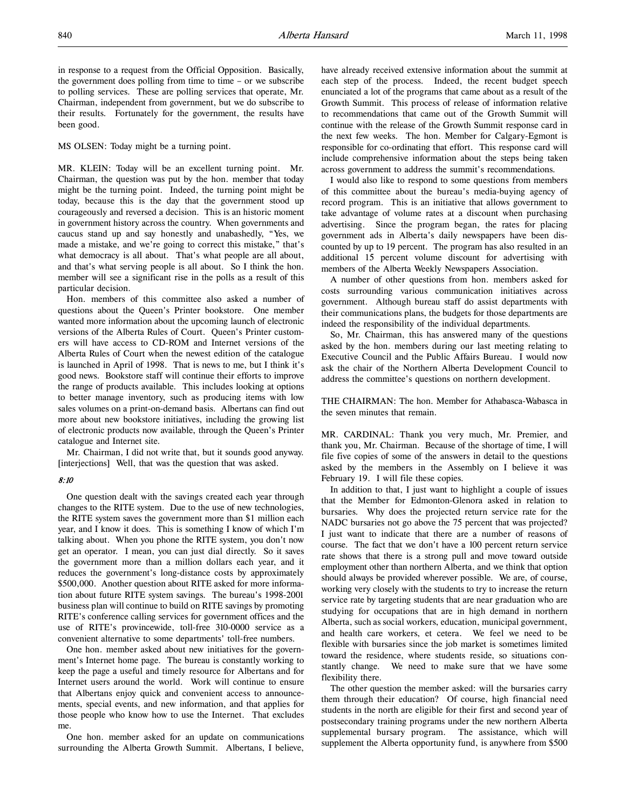MS OLSEN: Today might be a turning point.

MR. KLEIN: Today will be an excellent turning point. Mr. Chairman, the question was put by the hon. member that today might be the turning point. Indeed, the turning point might be today, because this is the day that the government stood up courageously and reversed a decision. This is an historic moment in government history across the country. When governments and caucus stand up and say honestly and unabashedly, "Yes, we made a mistake, and we're going to correct this mistake," that's what democracy is all about. That's what people are all about, and that's what serving people is all about. So I think the hon. member will see a significant rise in the polls as a result of this particular decision.

Hon. members of this committee also asked a number of questions about the Queen's Printer bookstore. One member wanted more information about the upcoming launch of electronic versions of the Alberta Rules of Court. Queen's Printer customers will have access to CD-ROM and Internet versions of the Alberta Rules of Court when the newest edition of the catalogue is launched in April of 1998. That is news to me, but I think it's good news. Bookstore staff will continue their efforts to improve the range of products available. This includes looking at options to better manage inventory, such as producing items with low sales volumes on a print-on-demand basis. Albertans can find out more about new bookstore initiatives, including the growing list of electronic products now available, through the Queen's Printer catalogue and Internet site.

Mr. Chairman, I did not write that, but it sounds good anyway. [interjections] Well, that was the question that was asked.

### 8:10

One question dealt with the savings created each year through changes to the RITE system. Due to the use of new technologies, the RITE system saves the government more than \$1 million each year, and I know it does. This is something I know of which I'm talking about. When you phone the RITE system, you don't now get an operator. I mean, you can just dial directly. So it saves the government more than a million dollars each year, and it reduces the government's long-distance costs by approximately \$500,000. Another question about RITE asked for more information about future RITE system savings. The bureau's 1998-2001 business plan will continue to build on RITE savings by promoting RITE's conference calling services for government offices and the use of RITE's provincewide, toll-free 310-0000 service as a convenient alternative to some departments' toll-free numbers.

One hon. member asked about new initiatives for the government's Internet home page. The bureau is constantly working to keep the page a useful and timely resource for Albertans and for Internet users around the world. Work will continue to ensure that Albertans enjoy quick and convenient access to announcements, special events, and new information, and that applies for those people who know how to use the Internet. That excludes me.

One hon. member asked for an update on communications surrounding the Alberta Growth Summit. Albertans, I believe,

have already received extensive information about the summit at each step of the process. Indeed, the recent budget speech enunciated a lot of the programs that came about as a result of the Growth Summit. This process of release of information relative to recommendations that came out of the Growth Summit will continue with the release of the Growth Summit response card in the next few weeks. The hon. Member for Calgary-Egmont is responsible for co-ordinating that effort. This response card will include comprehensive information about the steps being taken across government to address the summit's recommendations.

I would also like to respond to some questions from members of this committee about the bureau's media-buying agency of record program. This is an initiative that allows government to take advantage of volume rates at a discount when purchasing advertising. Since the program began, the rates for placing government ads in Alberta's daily newspapers have been discounted by up to 19 percent. The program has also resulted in an additional 15 percent volume discount for advertising with members of the Alberta Weekly Newspapers Association.

A number of other questions from hon. members asked for costs surrounding various communication initiatives across government. Although bureau staff do assist departments with their communications plans, the budgets for those departments are indeed the responsibility of the individual departments.

So, Mr. Chairman, this has answered many of the questions asked by the hon. members during our last meeting relating to Executive Council and the Public Affairs Bureau. I would now ask the chair of the Northern Alberta Development Council to address the committee's questions on northern development.

THE CHAIRMAN: The hon. Member for Athabasca-Wabasca in the seven minutes that remain.

MR. CARDINAL: Thank you very much, Mr. Premier, and thank you, Mr. Chairman. Because of the shortage of time, I will file five copies of some of the answers in detail to the questions asked by the members in the Assembly on I believe it was February 19. I will file these copies.

In addition to that, I just want to highlight a couple of issues that the Member for Edmonton-Glenora asked in relation to bursaries. Why does the projected return service rate for the NADC bursaries not go above the 75 percent that was projected? I just want to indicate that there are a number of reasons of course. The fact that we don't have a 100 percent return service rate shows that there is a strong pull and move toward outside employment other than northern Alberta, and we think that option should always be provided wherever possible. We are, of course, working very closely with the students to try to increase the return service rate by targeting students that are near graduation who are studying for occupations that are in high demand in northern Alberta, such as social workers, education, municipal government, and health care workers, et cetera. We feel we need to be flexible with bursaries since the job market is sometimes limited toward the residence, where students reside, so situations constantly change. We need to make sure that we have some flexibility there.

The other question the member asked: will the bursaries carry them through their education? Of course, high financial need students in the north are eligible for their first and second year of postsecondary training programs under the new northern Alberta supplemental bursary program. The assistance, which will supplement the Alberta opportunity fund, is anywhere from \$500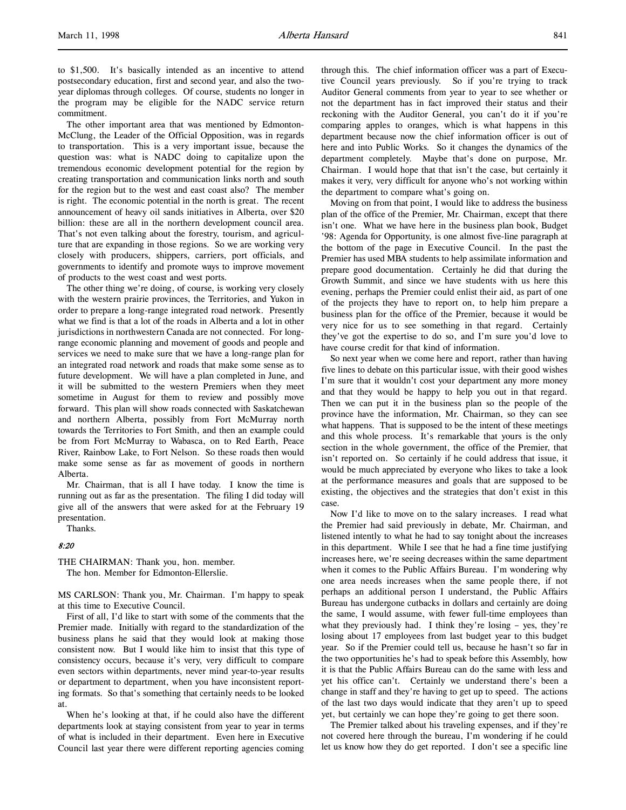to \$1,500. It's basically intended as an incentive to attend postsecondary education, first and second year, and also the twoyear diplomas through colleges. Of course, students no longer in the program may be eligible for the NADC service return commitment.

The other important area that was mentioned by Edmonton-McClung, the Leader of the Official Opposition, was in regards to transportation. This is a very important issue, because the question was: what is NADC doing to capitalize upon the tremendous economic development potential for the region by creating transportation and communication links north and south for the region but to the west and east coast also? The member is right. The economic potential in the north is great. The recent announcement of heavy oil sands initiatives in Alberta, over \$20 billion: these are all in the northern development council area. That's not even talking about the forestry, tourism, and agriculture that are expanding in those regions. So we are working very closely with producers, shippers, carriers, port officials, and governments to identify and promote ways to improve movement of products to the west coast and west ports.

The other thing we're doing, of course, is working very closely with the western prairie provinces, the Territories, and Yukon in order to prepare a long-range integrated road network. Presently what we find is that a lot of the roads in Alberta and a lot in other jurisdictions in northwestern Canada are not connected. For longrange economic planning and movement of goods and people and services we need to make sure that we have a long-range plan for an integrated road network and roads that make some sense as to future development. We will have a plan completed in June, and it will be submitted to the western Premiers when they meet sometime in August for them to review and possibly move forward. This plan will show roads connected with Saskatchewan and northern Alberta, possibly from Fort McMurray north towards the Territories to Fort Smith, and then an example could be from Fort McMurray to Wabasca, on to Red Earth, Peace River, Rainbow Lake, to Fort Nelson. So these roads then would make some sense as far as movement of goods in northern Alberta.

Mr. Chairman, that is all I have today. I know the time is running out as far as the presentation. The filing I did today will give all of the answers that were asked for at the February 19 presentation.

Thanks.

## 8:20

THE CHAIRMAN: Thank you, hon. member. The hon. Member for Edmonton-Ellerslie.

MS CARLSON: Thank you, Mr. Chairman. I'm happy to speak at this time to Executive Council.

First of all, I'd like to start with some of the comments that the Premier made. Initially with regard to the standardization of the business plans he said that they would look at making those consistent now. But I would like him to insist that this type of consistency occurs, because it's very, very difficult to compare even sectors within departments, never mind year-to-year results or department to department, when you have inconsistent reporting formats. So that's something that certainly needs to be looked at.

When he's looking at that, if he could also have the different departments look at staying consistent from year to year in terms of what is included in their department. Even here in Executive Council last year there were different reporting agencies coming

through this. The chief information officer was a part of Executive Council years previously. So if you're trying to track Auditor General comments from year to year to see whether or not the department has in fact improved their status and their reckoning with the Auditor General, you can't do it if you're comparing apples to oranges, which is what happens in this department because now the chief information officer is out of here and into Public Works. So it changes the dynamics of the department completely. Maybe that's done on purpose, Mr. Chairman. I would hope that that isn't the case, but certainly it makes it very, very difficult for anyone who's not working within the department to compare what's going on.

Moving on from that point, I would like to address the business plan of the office of the Premier, Mr. Chairman, except that there isn't one. What we have here in the business plan book, Budget '98: Agenda for Opportunity, is one almost five-line paragraph at the bottom of the page in Executive Council. In the past the Premier has used MBA students to help assimilate information and prepare good documentation. Certainly he did that during the Growth Summit, and since we have students with us here this evening, perhaps the Premier could enlist their aid, as part of one of the projects they have to report on, to help him prepare a business plan for the office of the Premier, because it would be very nice for us to see something in that regard. Certainly they've got the expertise to do so, and I'm sure you'd love to have course credit for that kind of information.

So next year when we come here and report, rather than having five lines to debate on this particular issue, with their good wishes I'm sure that it wouldn't cost your department any more money and that they would be happy to help you out in that regard. Then we can put it in the business plan so the people of the province have the information, Mr. Chairman, so they can see what happens. That is supposed to be the intent of these meetings and this whole process. It's remarkable that yours is the only section in the whole government, the office of the Premier, that isn't reported on. So certainly if he could address that issue, it would be much appreciated by everyone who likes to take a look at the performance measures and goals that are supposed to be existing, the objectives and the strategies that don't exist in this case.

Now I'd like to move on to the salary increases. I read what the Premier had said previously in debate, Mr. Chairman, and listened intently to what he had to say tonight about the increases in this department. While I see that he had a fine time justifying increases here, we're seeing decreases within the same department when it comes to the Public Affairs Bureau. I'm wondering why one area needs increases when the same people there, if not perhaps an additional person I understand, the Public Affairs Bureau has undergone cutbacks in dollars and certainly are doing the same, I would assume, with fewer full-time employees than what they previously had. I think they're losing – yes, they're losing about 17 employees from last budget year to this budget year. So if the Premier could tell us, because he hasn't so far in the two opportunities he's had to speak before this Assembly, how it is that the Public Affairs Bureau can do the same with less and yet his office can't. Certainly we understand there's been a change in staff and they're having to get up to speed. The actions of the last two days would indicate that they aren't up to speed yet, but certainly we can hope they're going to get there soon.

The Premier talked about his traveling expenses, and if they're not covered here through the bureau, I'm wondering if he could let us know how they do get reported. I don't see a specific line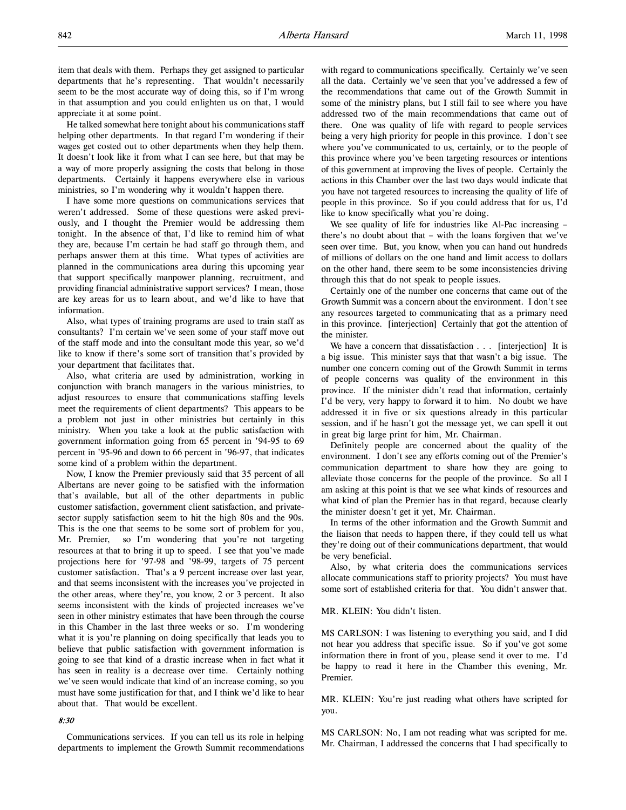item that deals with them. Perhaps they get assigned to particular departments that he's representing. That wouldn't necessarily seem to be the most accurate way of doing this, so if I'm wrong in that assumption and you could enlighten us on that, I would appreciate it at some point.

He talked somewhat here tonight about his communications staff helping other departments. In that regard I'm wondering if their wages get costed out to other departments when they help them. It doesn't look like it from what I can see here, but that may be a way of more properly assigning the costs that belong in those departments. Certainly it happens everywhere else in various ministries, so I'm wondering why it wouldn't happen there.

I have some more questions on communications services that weren't addressed. Some of these questions were asked previously, and I thought the Premier would be addressing them tonight. In the absence of that, I'd like to remind him of what they are, because I'm certain he had staff go through them, and perhaps answer them at this time. What types of activities are planned in the communications area during this upcoming year that support specifically manpower planning, recruitment, and providing financial administrative support services? I mean, those are key areas for us to learn about, and we'd like to have that information.

Also, what types of training programs are used to train staff as consultants? I'm certain we've seen some of your staff move out of the staff mode and into the consultant mode this year, so we'd like to know if there's some sort of transition that's provided by your department that facilitates that.

Also, what criteria are used by administration, working in conjunction with branch managers in the various ministries, to adjust resources to ensure that communications staffing levels meet the requirements of client departments? This appears to be a problem not just in other ministries but certainly in this ministry. When you take a look at the public satisfaction with government information going from 65 percent in '94-95 to 69 percent in '95-96 and down to 66 percent in '96-97, that indicates some kind of a problem within the department.

Now, I know the Premier previously said that 35 percent of all Albertans are never going to be satisfied with the information that's available, but all of the other departments in public customer satisfaction, government client satisfaction, and privatesector supply satisfaction seem to hit the high 80s and the 90s. This is the one that seems to be some sort of problem for you, Mr. Premier, so I'm wondering that you're not targeting resources at that to bring it up to speed. I see that you've made projections here for '97-98 and '98-99, targets of 75 percent customer satisfaction. That's a 9 percent increase over last year, and that seems inconsistent with the increases you've projected in the other areas, where they're, you know, 2 or 3 percent. It also seems inconsistent with the kinds of projected increases we've seen in other ministry estimates that have been through the course in this Chamber in the last three weeks or so. I'm wondering what it is you're planning on doing specifically that leads you to believe that public satisfaction with government information is going to see that kind of a drastic increase when in fact what it has seen in reality is a decrease over time. Certainly nothing we've seen would indicate that kind of an increase coming, so you must have some justification for that, and I think we'd like to hear about that. That would be excellent.

#### 8:30

Communications services. If you can tell us its role in helping departments to implement the Growth Summit recommendations with regard to communications specifically. Certainly we've seen all the data. Certainly we've seen that you've addressed a few of the recommendations that came out of the Growth Summit in some of the ministry plans, but I still fail to see where you have addressed two of the main recommendations that came out of there. One was quality of life with regard to people services being a very high priority for people in this province. I don't see where you've communicated to us, certainly, or to the people of this province where you've been targeting resources or intentions of this government at improving the lives of people. Certainly the actions in this Chamber over the last two days would indicate that you have not targeted resources to increasing the quality of life of people in this province. So if you could address that for us, I'd like to know specifically what you're doing.

We see quality of life for industries like Al-Pac increasing – there's no doubt about that – with the loans forgiven that we've seen over time. But, you know, when you can hand out hundreds of millions of dollars on the one hand and limit access to dollars on the other hand, there seem to be some inconsistencies driving through this that do not speak to people issues.

Certainly one of the number one concerns that came out of the Growth Summit was a concern about the environment. I don't see any resources targeted to communicating that as a primary need in this province. [interjection] Certainly that got the attention of the minister.

We have a concern that dissatisfaction . . . [interjection] It is a big issue. This minister says that that wasn't a big issue. The number one concern coming out of the Growth Summit in terms of people concerns was quality of the environment in this province. If the minister didn't read that information, certainly I'd be very, very happy to forward it to him. No doubt we have addressed it in five or six questions already in this particular session, and if he hasn't got the message yet, we can spell it out in great big large print for him, Mr. Chairman.

Definitely people are concerned about the quality of the environment. I don't see any efforts coming out of the Premier's communication department to share how they are going to alleviate those concerns for the people of the province. So all I am asking at this point is that we see what kinds of resources and what kind of plan the Premier has in that regard, because clearly the minister doesn't get it yet, Mr. Chairman.

In terms of the other information and the Growth Summit and the liaison that needs to happen there, if they could tell us what they're doing out of their communications department, that would be very beneficial.

Also, by what criteria does the communications services allocate communications staff to priority projects? You must have some sort of established criteria for that. You didn't answer that.

MR. KLEIN: You didn't listen.

MS CARLSON: I was listening to everything you said, and I did not hear you address that specific issue. So if you've got some information there in front of you, please send it over to me. I'd be happy to read it here in the Chamber this evening, Mr. Premier.

MR. KLEIN: You're just reading what others have scripted for you.

MS CARLSON: No, I am not reading what was scripted for me. Mr. Chairman, I addressed the concerns that I had specifically to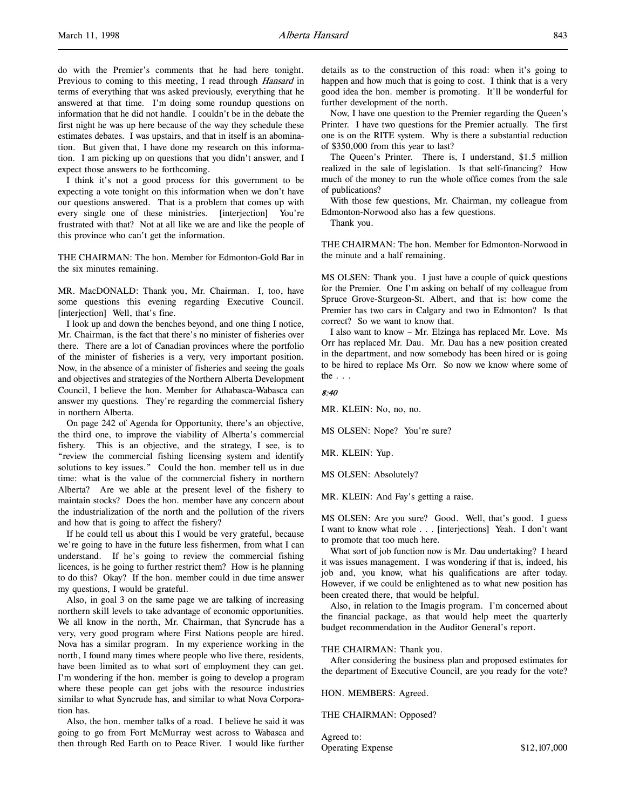do with the Premier's comments that he had here tonight. Previous to coming to this meeting, I read through *Hansard* in terms of everything that was asked previously, everything that he answered at that time. I'm doing some roundup questions on information that he did not handle. I couldn't be in the debate the first night he was up here because of the way they schedule these estimates debates. I was upstairs, and that in itself is an abomination. But given that, I have done my research on this information. I am picking up on questions that you didn't answer, and I expect those answers to be forthcoming.

I think it's not a good process for this government to be expecting a vote tonight on this information when we don't have our questions answered. That is a problem that comes up with every single one of these ministries. [interjection] You're frustrated with that? Not at all like we are and like the people of this province who can't get the information.

THE CHAIRMAN: The hon. Member for Edmonton-Gold Bar in the six minutes remaining.

MR. MacDONALD: Thank you, Mr. Chairman. I, too, have some questions this evening regarding Executive Council. [interjection] Well, that's fine.

I look up and down the benches beyond, and one thing I notice, Mr. Chairman, is the fact that there's no minister of fisheries over there. There are a lot of Canadian provinces where the portfolio of the minister of fisheries is a very, very important position. Now, in the absence of a minister of fisheries and seeing the goals and objectives and strategies of the Northern Alberta Development Council, I believe the hon. Member for Athabasca-Wabasca can answer my questions. They're regarding the commercial fishery in northern Alberta.

On page 242 of Agenda for Opportunity, there's an objective, the third one, to improve the viability of Alberta's commercial fishery. This is an objective, and the strategy, I see, is to "review the commercial fishing licensing system and identify solutions to key issues." Could the hon. member tell us in due time: what is the value of the commercial fishery in northern Alberta? Are we able at the present level of the fishery to maintain stocks? Does the hon. member have any concern about the industrialization of the north and the pollution of the rivers and how that is going to affect the fishery?

If he could tell us about this I would be very grateful, because we're going to have in the future less fishermen, from what I can understand. If he's going to review the commercial fishing licences, is he going to further restrict them? How is he planning to do this? Okay? If the hon. member could in due time answer my questions, I would be grateful.

Also, in goal 3 on the same page we are talking of increasing northern skill levels to take advantage of economic opportunities. We all know in the north, Mr. Chairman, that Syncrude has a very, very good program where First Nations people are hired. Nova has a similar program. In my experience working in the north, I found many times where people who live there, residents, have been limited as to what sort of employment they can get. I'm wondering if the hon. member is going to develop a program where these people can get jobs with the resource industries similar to what Syncrude has, and similar to what Nova Corporation has.

Also, the hon. member talks of a road. I believe he said it was going to go from Fort McMurray west across to Wabasca and then through Red Earth on to Peace River. I would like further

details as to the construction of this road: when it's going to happen and how much that is going to cost. I think that is a very good idea the hon. member is promoting. It'll be wonderful for further development of the north.

Now, I have one question to the Premier regarding the Queen's Printer. I have two questions for the Premier actually. The first one is on the RITE system. Why is there a substantial reduction of \$350,000 from this year to last?

The Queen's Printer. There is, I understand, \$1.5 million realized in the sale of legislation. Is that self-financing? How much of the money to run the whole office comes from the sale of publications?

With those few questions, Mr. Chairman, my colleague from Edmonton-Norwood also has a few questions.

Thank you.

THE CHAIRMAN: The hon. Member for Edmonton-Norwood in the minute and a half remaining.

MS OLSEN: Thank you. I just have a couple of quick questions for the Premier. One I'm asking on behalf of my colleague from Spruce Grove-Sturgeon-St. Albert, and that is: how come the Premier has two cars in Calgary and two in Edmonton? Is that correct? So we want to know that.

I also want to know – Mr. Elzinga has replaced Mr. Love. Ms Orr has replaced Mr. Dau. Mr. Dau has a new position created in the department, and now somebody has been hired or is going to be hired to replace Ms Orr. So now we know where some of the  $\ldots$ 

#### 8:40

MR. KLEIN: No, no, no.

MS OLSEN: Nope? You're sure?

MR. KLEIN: Yup.

MS OLSEN: Absolutely?

MR. KLEIN: And Fay's getting a raise.

MS OLSEN: Are you sure? Good. Well, that's good. I guess I want to know what role . . . [interjections] Yeah. I don't want to promote that too much here.

What sort of job function now is Mr. Dau undertaking? I heard it was issues management. I was wondering if that is, indeed, his job and, you know, what his qualifications are after today. However, if we could be enlightened as to what new position has been created there, that would be helpful.

Also, in relation to the Imagis program. I'm concerned about the financial package, as that would help meet the quarterly budget recommendation in the Auditor General's report.

#### THE CHAIRMAN: Thank you.

After considering the business plan and proposed estimates for the department of Executive Council, are you ready for the vote?

HON. MEMBERS: Agreed.

THE CHAIRMAN: Opposed?

Agreed to: Operating Expense \$12,107,000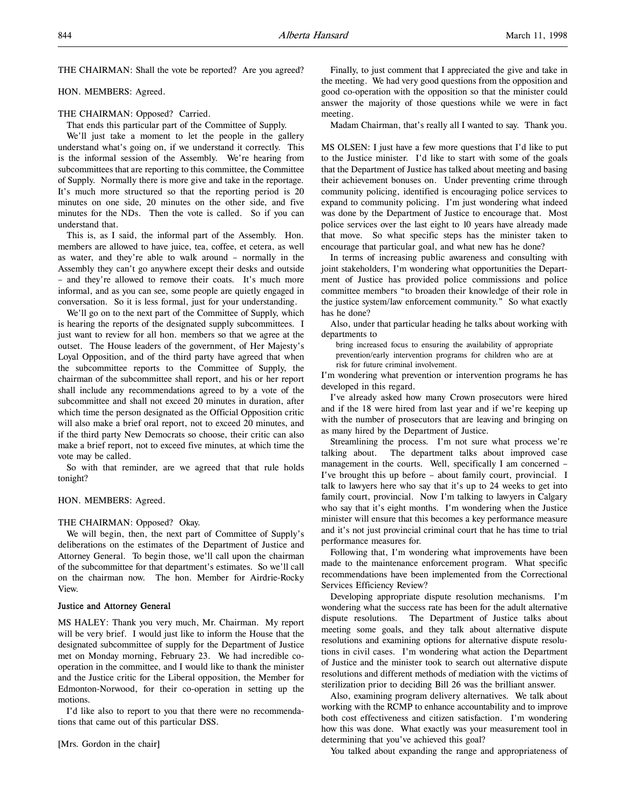THE CHAIRMAN: Shall the vote be reported? Are you agreed?

HON. MEMBERS: Agreed.

## THE CHAIRMAN: Opposed? Carried.

That ends this particular part of the Committee of Supply.

We'll just take a moment to let the people in the gallery understand what's going on, if we understand it correctly. This is the informal session of the Assembly. We're hearing from subcommittees that are reporting to this committee, the Committee of Supply. Normally there is more give and take in the reportage. It's much more structured so that the reporting period is 20 minutes on one side, 20 minutes on the other side, and five minutes for the NDs. Then the vote is called. So if you can understand that.

This is, as I said, the informal part of the Assembly. Hon. members are allowed to have juice, tea, coffee, et cetera, as well as water, and they're able to walk around – normally in the Assembly they can't go anywhere except their desks and outside – and they're allowed to remove their coats. It's much more informal, and as you can see, some people are quietly engaged in conversation. So it is less formal, just for your understanding.

We'll go on to the next part of the Committee of Supply, which is hearing the reports of the designated supply subcommittees. I just want to review for all hon. members so that we agree at the outset. The House leaders of the government, of Her Majesty's Loyal Opposition, and of the third party have agreed that when the subcommittee reports to the Committee of Supply, the chairman of the subcommittee shall report, and his or her report shall include any recommendations agreed to by a vote of the subcommittee and shall not exceed 20 minutes in duration, after which time the person designated as the Official Opposition critic will also make a brief oral report, not to exceed 20 minutes, and if the third party New Democrats so choose, their critic can also make a brief report, not to exceed five minutes, at which time the vote may be called.

So with that reminder, are we agreed that that rule holds tonight?

#### HON. MEMBERS: Agreed.

#### THE CHAIRMAN: Opposed? Okay.

We will begin, then, the next part of Committee of Supply's deliberations on the estimates of the Department of Justice and Attorney General. To begin those, we'll call upon the chairman of the subcommittee for that department's estimates. So we'll call on the chairman now. The hon. Member for Airdrie-Rocky View.

## Justice and Attorney General

MS HALEY: Thank you very much, Mr. Chairman. My report will be very brief. I would just like to inform the House that the designated subcommittee of supply for the Department of Justice met on Monday morning, February 23. We had incredible cooperation in the committee, and I would like to thank the minister and the Justice critic for the Liberal opposition, the Member for Edmonton-Norwood, for their co-operation in setting up the motions.

I'd like also to report to you that there were no recommendations that came out of this particular DSS.

[Mrs. Gordon in the chair]

Finally, to just comment that I appreciated the give and take in the meeting. We had very good questions from the opposition and good co-operation with the opposition so that the minister could answer the majority of those questions while we were in fact meeting.

Madam Chairman, that's really all I wanted to say. Thank you.

MS OLSEN: I just have a few more questions that I'd like to put to the Justice minister. I'd like to start with some of the goals that the Department of Justice has talked about meeting and basing their achievement bonuses on. Under preventing crime through community policing, identified is encouraging police services to expand to community policing. I'm just wondering what indeed was done by the Department of Justice to encourage that. Most police services over the last eight to 10 years have already made that move. So what specific steps has the minister taken to encourage that particular goal, and what new has he done?

In terms of increasing public awareness and consulting with joint stakeholders, I'm wondering what opportunities the Department of Justice has provided police commissions and police committee members "to broaden their knowledge of their role in the justice system/law enforcement community." So what exactly has he done?

Also, under that particular heading he talks about working with departments to

bring increased focus to ensuring the availability of appropriate prevention/early intervention programs for children who are at risk for future criminal involvement.

I'm wondering what prevention or intervention programs he has developed in this regard.

I've already asked how many Crown prosecutors were hired and if the 18 were hired from last year and if we're keeping up with the number of prosecutors that are leaving and bringing on as many hired by the Department of Justice.

Streamlining the process. I'm not sure what process we're talking about. The department talks about improved case management in the courts. Well, specifically I am concerned – I've brought this up before – about family court, provincial. I talk to lawyers here who say that it's up to 24 weeks to get into family court, provincial. Now I'm talking to lawyers in Calgary who say that it's eight months. I'm wondering when the Justice minister will ensure that this becomes a key performance measure and it's not just provincial criminal court that he has time to trial performance measures for.

Following that, I'm wondering what improvements have been made to the maintenance enforcement program. What specific recommendations have been implemented from the Correctional Services Efficiency Review?

Developing appropriate dispute resolution mechanisms. I'm wondering what the success rate has been for the adult alternative dispute resolutions. The Department of Justice talks about meeting some goals, and they talk about alternative dispute resolutions and examining options for alternative dispute resolutions in civil cases. I'm wondering what action the Department of Justice and the minister took to search out alternative dispute resolutions and different methods of mediation with the victims of sterilization prior to deciding Bill 26 was the brilliant answer.

Also, examining program delivery alternatives. We talk about working with the RCMP to enhance accountability and to improve both cost effectiveness and citizen satisfaction. I'm wondering how this was done. What exactly was your measurement tool in determining that you've achieved this goal?

You talked about expanding the range and appropriateness of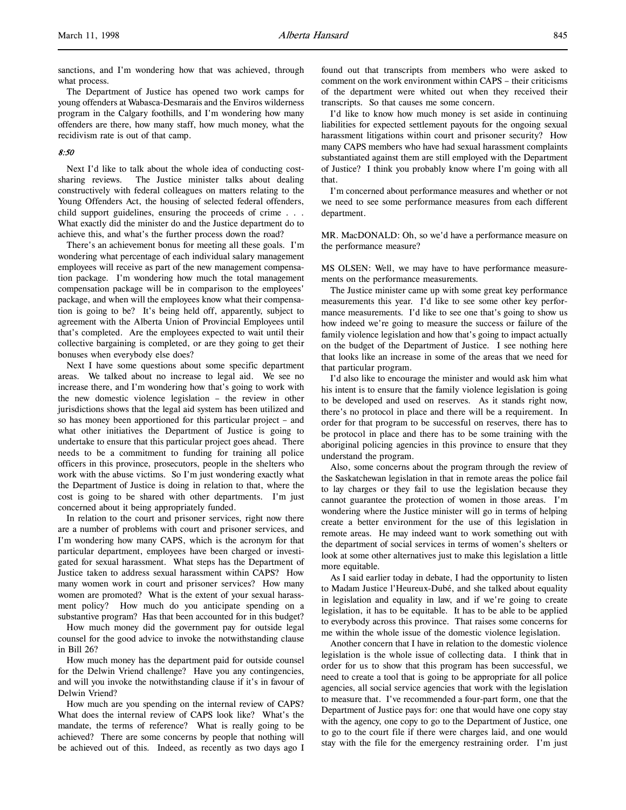sanctions, and I'm wondering how that was achieved, through what process.

The Department of Justice has opened two work camps for young offenders at Wabasca-Desmarais and the Enviros wilderness program in the Calgary foothills, and I'm wondering how many offenders are there, how many staff, how much money, what the recidivism rate is out of that camp.

## 8:50

Next I'd like to talk about the whole idea of conducting costsharing reviews. The Justice minister talks about dealing constructively with federal colleagues on matters relating to the Young Offenders Act, the housing of selected federal offenders, child support guidelines, ensuring the proceeds of crime . . . What exactly did the minister do and the Justice department do to achieve this, and what's the further process down the road?

There's an achievement bonus for meeting all these goals. I'm wondering what percentage of each individual salary management employees will receive as part of the new management compensation package. I'm wondering how much the total management compensation package will be in comparison to the employees' package, and when will the employees know what their compensation is going to be? It's being held off, apparently, subject to agreement with the Alberta Union of Provincial Employees until that's completed. Are the employees expected to wait until their collective bargaining is completed, or are they going to get their bonuses when everybody else does?

Next I have some questions about some specific department areas. We talked about no increase to legal aid. We see no increase there, and I'm wondering how that's going to work with the new domestic violence legislation – the review in other jurisdictions shows that the legal aid system has been utilized and so has money been apportioned for this particular project – and what other initiatives the Department of Justice is going to undertake to ensure that this particular project goes ahead. There needs to be a commitment to funding for training all police officers in this province, prosecutors, people in the shelters who work with the abuse victims. So I'm just wondering exactly what the Department of Justice is doing in relation to that, where the cost is going to be shared with other departments. I'm just concerned about it being appropriately funded.

In relation to the court and prisoner services, right now there are a number of problems with court and prisoner services, and I'm wondering how many CAPS, which is the acronym for that particular department, employees have been charged or investigated for sexual harassment. What steps has the Department of Justice taken to address sexual harassment within CAPS? How many women work in court and prisoner services? How many women are promoted? What is the extent of your sexual harassment policy? How much do you anticipate spending on a substantive program? Has that been accounted for in this budget?

How much money did the government pay for outside legal counsel for the good advice to invoke the notwithstanding clause in Bill 26?

How much money has the department paid for outside counsel for the Delwin Vriend challenge? Have you any contingencies, and will you invoke the notwithstanding clause if it's in favour of Delwin Vriend?

How much are you spending on the internal review of CAPS? What does the internal review of CAPS look like? What's the mandate, the terms of reference? What is really going to be achieved? There are some concerns by people that nothing will be achieved out of this. Indeed, as recently as two days ago I

found out that transcripts from members who were asked to comment on the work environment within CAPS – their criticisms of the department were whited out when they received their transcripts. So that causes me some concern.

I'd like to know how much money is set aside in continuing liabilities for expected settlement payouts for the ongoing sexual harassment litigations within court and prisoner security? How many CAPS members who have had sexual harassment complaints substantiated against them are still employed with the Department of Justice? I think you probably know where I'm going with all that.

I'm concerned about performance measures and whether or not we need to see some performance measures from each different department.

MR. MacDONALD: Oh, so we'd have a performance measure on the performance measure?

MS OLSEN: Well, we may have to have performance measurements on the performance measurements.

The Justice minister came up with some great key performance measurements this year. I'd like to see some other key performance measurements. I'd like to see one that's going to show us how indeed we're going to measure the success or failure of the family violence legislation and how that's going to impact actually on the budget of the Department of Justice. I see nothing here that looks like an increase in some of the areas that we need for that particular program.

I'd also like to encourage the minister and would ask him what his intent is to ensure that the family violence legislation is going to be developed and used on reserves. As it stands right now, there's no protocol in place and there will be a requirement. In order for that program to be successful on reserves, there has to be protocol in place and there has to be some training with the aboriginal policing agencies in this province to ensure that they understand the program.

Also, some concerns about the program through the review of the Saskatchewan legislation in that in remote areas the police fail to lay charges or they fail to use the legislation because they cannot guarantee the protection of women in those areas. I'm wondering where the Justice minister will go in terms of helping create a better environment for the use of this legislation in remote areas. He may indeed want to work something out with the department of social services in terms of women's shelters or look at some other alternatives just to make this legislation a little more equitable.

As I said earlier today in debate, I had the opportunity to listen to Madam Justice l'Heureux-Dubé, and she talked about equality in legislation and equality in law, and if we're going to create legislation, it has to be equitable. It has to be able to be applied to everybody across this province. That raises some concerns for me within the whole issue of the domestic violence legislation.

Another concern that I have in relation to the domestic violence legislation is the whole issue of collecting data. I think that in order for us to show that this program has been successful, we need to create a tool that is going to be appropriate for all police agencies, all social service agencies that work with the legislation to measure that. I've recommended a four-part form, one that the Department of Justice pays for: one that would have one copy stay with the agency, one copy to go to the Department of Justice, one to go to the court file if there were charges laid, and one would stay with the file for the emergency restraining order. I'm just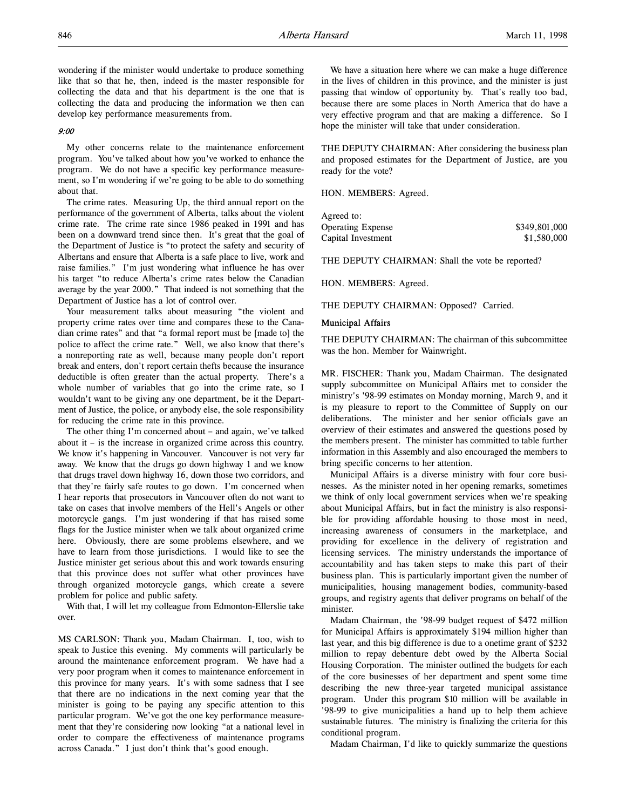wondering if the minister would undertake to produce something like that so that he, then, indeed is the master responsible for collecting the data and that his department is the one that is collecting the data and producing the information we then can develop key performance measurements from.

#### 9:00

My other concerns relate to the maintenance enforcement program. You've talked about how you've worked to enhance the program. We do not have a specific key performance measurement, so I'm wondering if we're going to be able to do something about that.

The crime rates. Measuring Up, the third annual report on the performance of the government of Alberta, talks about the violent crime rate. The crime rate since 1986 peaked in 1991 and has been on a downward trend since then. It's great that the goal of the Department of Justice is "to protect the safety and security of Albertans and ensure that Alberta is a safe place to live, work and raise families." I'm just wondering what influence he has over his target "to reduce Alberta's crime rates below the Canadian average by the year 2000." That indeed is not something that the Department of Justice has a lot of control over.

Your measurement talks about measuring "the violent and property crime rates over time and compares these to the Canadian crime rates" and that "a formal report must be [made to] the police to affect the crime rate." Well, we also know that there's a nonreporting rate as well, because many people don't report break and enters, don't report certain thefts because the insurance deductible is often greater than the actual property. There's a whole number of variables that go into the crime rate, so I wouldn't want to be giving any one department, be it the Department of Justice, the police, or anybody else, the sole responsibility for reducing the crime rate in this province.

The other thing I'm concerned about – and again, we've talked about it – is the increase in organized crime across this country. We know it's happening in Vancouver. Vancouver is not very far away. We know that the drugs go down highway 1 and we know that drugs travel down highway 16, down those two corridors, and that they're fairly safe routes to go down. I'm concerned when I hear reports that prosecutors in Vancouver often do not want to take on cases that involve members of the Hell's Angels or other motorcycle gangs. I'm just wondering if that has raised some flags for the Justice minister when we talk about organized crime here. Obviously, there are some problems elsewhere, and we have to learn from those jurisdictions. I would like to see the Justice minister get serious about this and work towards ensuring that this province does not suffer what other provinces have through organized motorcycle gangs, which create a severe problem for police and public safety.

With that, I will let my colleague from Edmonton-Ellerslie take over.

MS CARLSON: Thank you, Madam Chairman. I, too, wish to speak to Justice this evening. My comments will particularly be around the maintenance enforcement program. We have had a very poor program when it comes to maintenance enforcement in this province for many years. It's with some sadness that I see that there are no indications in the next coming year that the minister is going to be paying any specific attention to this particular program. We've got the one key performance measurement that they're considering now looking "at a national level in order to compare the effectiveness of maintenance programs across Canada." I just don't think that's good enough.

We have a situation here where we can make a huge difference in the lives of children in this province, and the minister is just passing that window of opportunity by. That's really too bad, because there are some places in North America that do have a very effective program and that are making a difference. So I hope the minister will take that under consideration.

THE DEPUTY CHAIRMAN: After considering the business plan and proposed estimates for the Department of Justice, are you ready for the vote?

HON. MEMBERS: Agreed.

| Agreed to:               |               |
|--------------------------|---------------|
| <b>Operating Expense</b> | \$349,801,000 |
| Capital Investment       | \$1,580,000   |

THE DEPUTY CHAIRMAN: Shall the vote be reported?

HON. MEMBERS: Agreed.

THE DEPUTY CHAIRMAN: Opposed? Carried.

#### Municipal Affairs

THE DEPUTY CHAIRMAN: The chairman of this subcommittee was the hon. Member for Wainwright.

MR. FISCHER: Thank you, Madam Chairman. The designated supply subcommittee on Municipal Affairs met to consider the ministry's '98-99 estimates on Monday morning, March 9, and it is my pleasure to report to the Committee of Supply on our deliberations. The minister and her senior officials gave an overview of their estimates and answered the questions posed by the members present. The minister has committed to table further information in this Assembly and also encouraged the members to bring specific concerns to her attention.

Municipal Affairs is a diverse ministry with four core businesses. As the minister noted in her opening remarks, sometimes we think of only local government services when we're speaking about Municipal Affairs, but in fact the ministry is also responsible for providing affordable housing to those most in need, increasing awareness of consumers in the marketplace, and providing for excellence in the delivery of registration and licensing services. The ministry understands the importance of accountability and has taken steps to make this part of their business plan. This is particularly important given the number of municipalities, housing management bodies, community-based groups, and registry agents that deliver programs on behalf of the minister.

Madam Chairman, the '98-99 budget request of \$472 million for Municipal Affairs is approximately \$194 million higher than last year, and this big difference is due to a onetime grant of \$232 million to repay debenture debt owed by the Alberta Social Housing Corporation. The minister outlined the budgets for each of the core businesses of her department and spent some time describing the new three-year targeted municipal assistance program. Under this program \$10 million will be available in '98-99 to give municipalities a hand up to help them achieve sustainable futures. The ministry is finalizing the criteria for this conditional program.

Madam Chairman, I'd like to quickly summarize the questions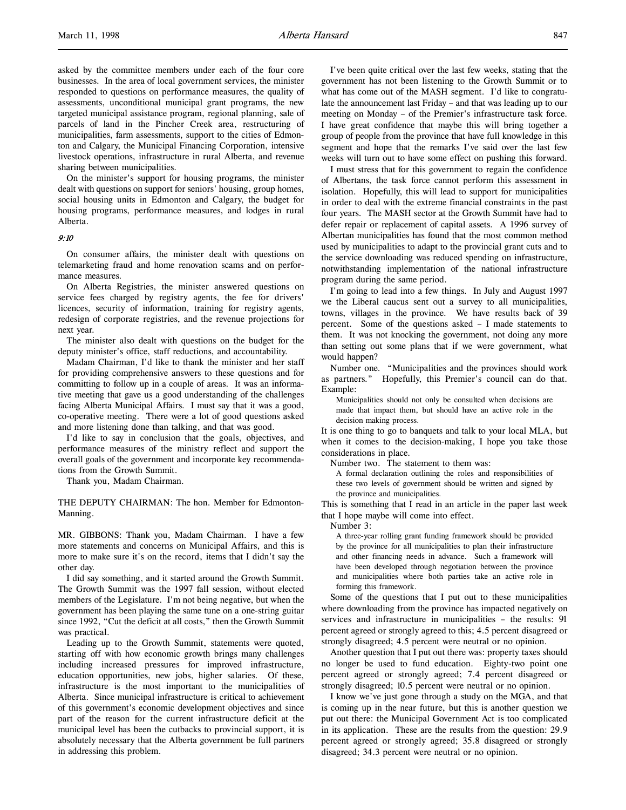asked by the committee members under each of the four core businesses. In the area of local government services, the minister responded to questions on performance measures, the quality of assessments, unconditional municipal grant programs, the new targeted municipal assistance program, regional planning, sale of parcels of land in the Pincher Creek area, restructuring of municipalities, farm assessments, support to the cities of Edmonton and Calgary, the Municipal Financing Corporation, intensive livestock operations, infrastructure in rural Alberta, and revenue sharing between municipalities.

On the minister's support for housing programs, the minister dealt with questions on support for seniors' housing, group homes, social housing units in Edmonton and Calgary, the budget for housing programs, performance measures, and lodges in rural Alberta.

## 9:10

On consumer affairs, the minister dealt with questions on telemarketing fraud and home renovation scams and on performance measures.

On Alberta Registries, the minister answered questions on service fees charged by registry agents, the fee for drivers' licences, security of information, training for registry agents, redesign of corporate registries, and the revenue projections for next year.

The minister also dealt with questions on the budget for the deputy minister's office, staff reductions, and accountability.

Madam Chairman, I'd like to thank the minister and her staff for providing comprehensive answers to these questions and for committing to follow up in a couple of areas. It was an informative meeting that gave us a good understanding of the challenges facing Alberta Municipal Affairs. I must say that it was a good, co-operative meeting. There were a lot of good questions asked and more listening done than talking, and that was good.

I'd like to say in conclusion that the goals, objectives, and performance measures of the ministry reflect and support the overall goals of the government and incorporate key recommendations from the Growth Summit.

Thank you, Madam Chairman.

THE DEPUTY CHAIRMAN: The hon. Member for Edmonton-Manning.

MR. GIBBONS: Thank you, Madam Chairman. I have a few more statements and concerns on Municipal Affairs, and this is more to make sure it's on the record, items that I didn't say the other day.

I did say something, and it started around the Growth Summit. The Growth Summit was the 1997 fall session, without elected members of the Legislature. I'm not being negative, but when the government has been playing the same tune on a one-string guitar since 1992, "Cut the deficit at all costs," then the Growth Summit was practical.

Leading up to the Growth Summit, statements were quoted, starting off with how economic growth brings many challenges including increased pressures for improved infrastructure, education opportunities, new jobs, higher salaries. Of these, infrastructure is the most important to the municipalities of Alberta. Since municipal infrastructure is critical to achievement of this government's economic development objectives and since part of the reason for the current infrastructure deficit at the municipal level has been the cutbacks to provincial support, it is absolutely necessary that the Alberta government be full partners in addressing this problem.

I've been quite critical over the last few weeks, stating that the government has not been listening to the Growth Summit or to what has come out of the MASH segment. I'd like to congratulate the announcement last Friday – and that was leading up to our meeting on Monday – of the Premier's infrastructure task force. I have great confidence that maybe this will bring together a group of people from the province that have full knowledge in this segment and hope that the remarks I've said over the last few weeks will turn out to have some effect on pushing this forward.

I must stress that for this government to regain the confidence of Albertans, the task force cannot perform this assessment in isolation. Hopefully, this will lead to support for municipalities in order to deal with the extreme financial constraints in the past four years. The MASH sector at the Growth Summit have had to defer repair or replacement of capital assets. A 1996 survey of Albertan municipalities has found that the most common method used by municipalities to adapt to the provincial grant cuts and to the service downloading was reduced spending on infrastructure, notwithstanding implementation of the national infrastructure program during the same period.

I'm going to lead into a few things. In July and August 1997 we the Liberal caucus sent out a survey to all municipalities, towns, villages in the province. We have results back of 39 percent. Some of the questions asked – I made statements to them. It was not knocking the government, not doing any more than setting out some plans that if we were government, what would happen?

Number one. "Municipalities and the provinces should work as partners." Hopefully, this Premier's council can do that. Example:

Municipalities should not only be consulted when decisions are made that impact them, but should have an active role in the decision making process.

It is one thing to go to banquets and talk to your local MLA, but when it comes to the decision-making, I hope you take those considerations in place.

Number two. The statement to them was:

A formal declaration outlining the roles and responsibilities of these two levels of government should be written and signed by the province and municipalities.

This is something that I read in an article in the paper last week that I hope maybe will come into effect.

Number 3:

A three-year rolling grant funding framework should be provided by the province for all municipalities to plan their infrastructure and other financing needs in advance. Such a framework will have been developed through negotiation between the province and municipalities where both parties take an active role in forming this framework.

Some of the questions that I put out to these municipalities where downloading from the province has impacted negatively on services and infrastructure in municipalities – the results: 91 percent agreed or strongly agreed to this; 4.5 percent disagreed or strongly disagreed; 4.5 percent were neutral or no opinion.

Another question that I put out there was: property taxes should no longer be used to fund education. Eighty-two point one percent agreed or strongly agreed; 7.4 percent disagreed or strongly disagreed; 10.5 percent were neutral or no opinion.

I know we've just gone through a study on the MGA, and that is coming up in the near future, but this is another question we put out there: the Municipal Government Act is too complicated in its application. These are the results from the question: 29.9 percent agreed or strongly agreed; 35.8 disagreed or strongly disagreed; 34.3 percent were neutral or no opinion.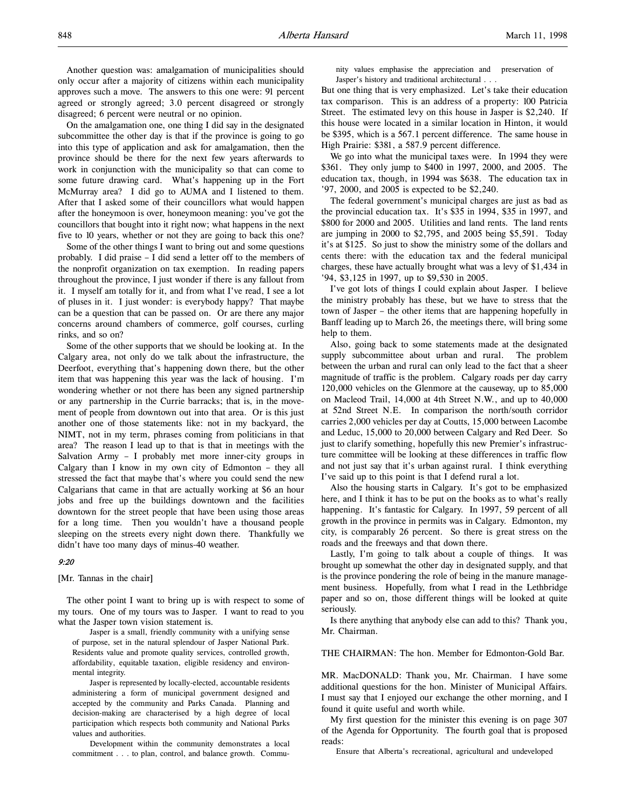Another question was: amalgamation of municipalities should only occur after a majority of citizens within each municipality approves such a move. The answers to this one were: 91 percent agreed or strongly agreed; 3.0 percent disagreed or strongly disagreed; 6 percent were neutral or no opinion.

On the amalgamation one, one thing I did say in the designated subcommittee the other day is that if the province is going to go into this type of application and ask for amalgamation, then the province should be there for the next few years afterwards to work in conjunction with the municipality so that can come to some future drawing card. What's happening up in the Fort McMurray area? I did go to AUMA and I listened to them. After that I asked some of their councillors what would happen after the honeymoon is over, honeymoon meaning: you've got the councillors that bought into it right now; what happens in the next five to 10 years, whether or not they are going to back this one?

Some of the other things I want to bring out and some questions probably. I did praise – I did send a letter off to the members of the nonprofit organization on tax exemption. In reading papers throughout the province, I just wonder if there is any fallout from it. I myself am totally for it, and from what I've read, I see a lot of pluses in it. I just wonder: is everybody happy? That maybe can be a question that can be passed on. Or are there any major concerns around chambers of commerce, golf courses, curling rinks, and so on?

Some of the other supports that we should be looking at. In the Calgary area, not only do we talk about the infrastructure, the Deerfoot, everything that's happening down there, but the other item that was happening this year was the lack of housing. I'm wondering whether or not there has been any signed partnership or any partnership in the Currie barracks; that is, in the movement of people from downtown out into that area. Or is this just another one of those statements like: not in my backyard, the NIMT, not in my term, phrases coming from politicians in that area? The reason I lead up to that is that in meetings with the Salvation Army – I probably met more inner-city groups in Calgary than I know in my own city of Edmonton – they all stressed the fact that maybe that's where you could send the new Calgarians that came in that are actually working at \$6 an hour jobs and free up the buildings downtown and the facilities downtown for the street people that have been using those areas for a long time. Then you wouldn't have a thousand people sleeping on the streets every night down there. Thankfully we didn't have too many days of minus-40 weather.

### 9:20

[Mr. Tannas in the chair]

The other point I want to bring up is with respect to some of my tours. One of my tours was to Jasper. I want to read to you what the Jasper town vision statement is.

Jasper is a small, friendly community with a unifying sense of purpose, set in the natural splendour of Jasper National Park. Residents value and promote quality services, controlled growth, affordability, equitable taxation, eligible residency and environmental integrity.

Jasper is represented by locally-elected, accountable residents administering a form of municipal government designed and accepted by the community and Parks Canada. Planning and decision-making are characterised by a high degree of local participation which respects both community and National Parks values and authorities.

Development within the community demonstrates a local commitment . . . to plan, control, and balance growth. Community values emphasise the appreciation and preservation of Jasper's history and traditional architectural . . .

But one thing that is very emphasized. Let's take their education tax comparison. This is an address of a property: 100 Patricia Street. The estimated levy on this house in Jasper is \$2,240. If this house were located in a similar location in Hinton, it would be \$395, which is a 567.1 percent difference. The same house in High Prairie: \$381, a 587.9 percent difference.

We go into what the municipal taxes were. In 1994 they were \$361. They only jump to \$400 in 1997, 2000, and 2005. The education tax, though, in 1994 was \$638. The education tax in '97, 2000, and 2005 is expected to be \$2,240.

The federal government's municipal charges are just as bad as the provincial education tax. It's \$35 in 1994, \$35 in 1997, and \$800 for 2000 and 2005. Utilities and land rents. The land rents are jumping in 2000 to \$2,795, and 2005 being \$5,591. Today it's at \$125. So just to show the ministry some of the dollars and cents there: with the education tax and the federal municipal charges, these have actually brought what was a levy of \$1,434 in '94, \$3,125 in 1997, up to \$9,530 in 2005.

I've got lots of things I could explain about Jasper. I believe the ministry probably has these, but we have to stress that the town of Jasper – the other items that are happening hopefully in Banff leading up to March 26, the meetings there, will bring some help to them.

Also, going back to some statements made at the designated supply subcommittee about urban and rural. The problem between the urban and rural can only lead to the fact that a sheer magnitude of traffic is the problem. Calgary roads per day carry 120,000 vehicles on the Glenmore at the causeway, up to 85,000 on Macleod Trail, 14,000 at 4th Street N.W., and up to 40,000 at 52nd Street N.E. In comparison the north/south corridor carries 2,000 vehicles per day at Coutts, 15,000 between Lacombe and Leduc, 15,000 to 20,000 between Calgary and Red Deer. So just to clarify something, hopefully this new Premier's infrastructure committee will be looking at these differences in traffic flow and not just say that it's urban against rural. I think everything I've said up to this point is that I defend rural a lot.

Also the housing starts in Calgary. It's got to be emphasized here, and I think it has to be put on the books as to what's really happening. It's fantastic for Calgary. In 1997, 59 percent of all growth in the province in permits was in Calgary. Edmonton, my city, is comparably 26 percent. So there is great stress on the roads and the freeways and that down there.

Lastly, I'm going to talk about a couple of things. It was brought up somewhat the other day in designated supply, and that is the province pondering the role of being in the manure management business. Hopefully, from what I read in the Lethbridge paper and so on, those different things will be looked at quite seriously.

Is there anything that anybody else can add to this? Thank you, Mr. Chairman.

THE CHAIRMAN: The hon. Member for Edmonton-Gold Bar.

MR. MacDONALD: Thank you, Mr. Chairman. I have some additional questions for the hon. Minister of Municipal Affairs. I must say that I enjoyed our exchange the other morning, and I found it quite useful and worth while.

My first question for the minister this evening is on page 307 of the Agenda for Opportunity. The fourth goal that is proposed reads:

Ensure that Alberta's recreational, agricultural and undeveloped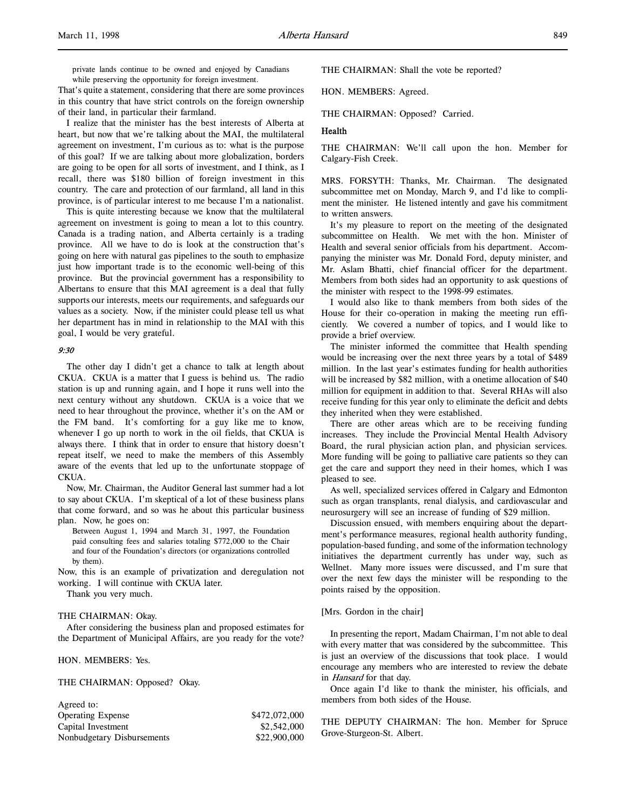private lands continue to be owned and enjoyed by Canadians while preserving the opportunity for foreign investment.

That's quite a statement, considering that there are some provinces in this country that have strict controls on the foreign ownership of their land, in particular their farmland.

I realize that the minister has the best interests of Alberta at heart, but now that we're talking about the MAI, the multilateral agreement on investment, I'm curious as to: what is the purpose of this goal? If we are talking about more globalization, borders are going to be open for all sorts of investment, and I think, as I recall, there was \$180 billion of foreign investment in this country. The care and protection of our farmland, all land in this province, is of particular interest to me because I'm a nationalist.

This is quite interesting because we know that the multilateral agreement on investment is going to mean a lot to this country. Canada is a trading nation, and Alberta certainly is a trading province. All we have to do is look at the construction that's going on here with natural gas pipelines to the south to emphasize just how important trade is to the economic well-being of this province. But the provincial government has a responsibility to Albertans to ensure that this MAI agreement is a deal that fully supports our interests, meets our requirements, and safeguards our values as a society. Now, if the minister could please tell us what her department has in mind in relationship to the MAI with this goal, I would be very grateful.

#### 9:30

The other day I didn't get a chance to talk at length about CKUA. CKUA is a matter that I guess is behind us. The radio station is up and running again, and I hope it runs well into the next century without any shutdown. CKUA is a voice that we need to hear throughout the province, whether it's on the AM or the FM band. It's comforting for a guy like me to know, whenever I go up north to work in the oil fields, that CKUA is always there. I think that in order to ensure that history doesn't repeat itself, we need to make the members of this Assembly aware of the events that led up to the unfortunate stoppage of CKUA.

Now, Mr. Chairman, the Auditor General last summer had a lot to say about CKUA. I'm skeptical of a lot of these business plans that come forward, and so was he about this particular business plan. Now, he goes on:

Between August 1, 1994 and March 31, 1997, the Foundation paid consulting fees and salaries totaling \$772,000 to the Chair and four of the Foundation's directors (or organizations controlled by them).

Now, this is an example of privatization and deregulation not working. I will continue with CKUA later.

Thank you very much.

### THE CHAIRMAN: Okay.

After considering the business plan and proposed estimates for the Department of Municipal Affairs, are you ready for the vote?

HON. MEMBERS: Yes.

THE CHAIRMAN: Opposed? Okay.

| Agreed to:                 |               |
|----------------------------|---------------|
| <b>Operating Expense</b>   | \$472,072,000 |
| Capital Investment         | \$2,542,000   |
| Nonbudgetary Disbursements | \$22,900,000  |

THE CHAIRMAN: Shall the vote be reported?

HON. MEMBERS: Agreed.

THE CHAIRMAN: Opposed? Carried.

#### Health

THE CHAIRMAN: We'll call upon the hon. Member for Calgary-Fish Creek.

MRS. FORSYTH: Thanks, Mr. Chairman. The designated subcommittee met on Monday, March 9, and I'd like to compliment the minister. He listened intently and gave his commitment to written answers.

It's my pleasure to report on the meeting of the designated subcommittee on Health. We met with the hon. Minister of Health and several senior officials from his department. Accompanying the minister was Mr. Donald Ford, deputy minister, and Mr. Aslam Bhatti, chief financial officer for the department. Members from both sides had an opportunity to ask questions of the minister with respect to the 1998-99 estimates.

I would also like to thank members from both sides of the House for their co-operation in making the meeting run efficiently. We covered a number of topics, and I would like to provide a brief overview.

The minister informed the committee that Health spending would be increasing over the next three years by a total of \$489 million. In the last year's estimates funding for health authorities will be increased by \$82 million, with a onetime allocation of \$40 million for equipment in addition to that. Several RHAs will also receive funding for this year only to eliminate the deficit and debts they inherited when they were established.

There are other areas which are to be receiving funding increases. They include the Provincial Mental Health Advisory Board, the rural physician action plan, and physician services. More funding will be going to palliative care patients so they can get the care and support they need in their homes, which I was pleased to see.

As well, specialized services offered in Calgary and Edmonton such as organ transplants, renal dialysis, and cardiovascular and neurosurgery will see an increase of funding of \$29 million.

Discussion ensued, with members enquiring about the department's performance measures, regional health authority funding, population-based funding, and some of the information technology initiatives the department currently has under way, such as Wellnet. Many more issues were discussed, and I'm sure that over the next few days the minister will be responding to the points raised by the opposition.

## [Mrs. Gordon in the chair]

In presenting the report, Madam Chairman, I'm not able to deal with every matter that was considered by the subcommittee. This is just an overview of the discussions that took place. I would encourage any members who are interested to review the debate in *Hansard* for that day.

Once again I'd like to thank the minister, his officials, and members from both sides of the House.

THE DEPUTY CHAIRMAN: The hon. Member for Spruce Grove-Sturgeon-St. Albert.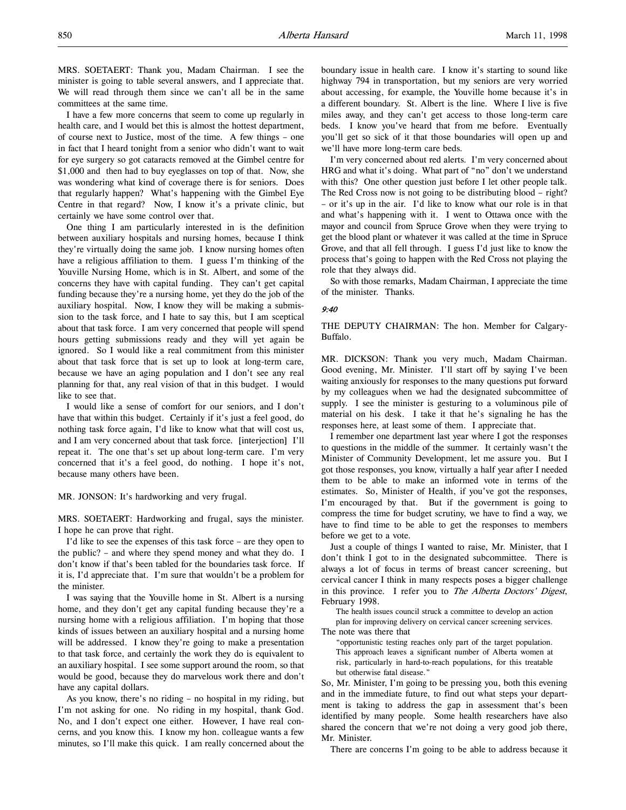MRS. SOETAERT: Thank you, Madam Chairman. I see the minister is going to table several answers, and I appreciate that. We will read through them since we can't all be in the same committees at the same time.

I have a few more concerns that seem to come up regularly in health care, and I would bet this is almost the hottest department, of course next to Justice, most of the time. A few things – one in fact that I heard tonight from a senior who didn't want to wait for eye surgery so got cataracts removed at the Gimbel centre for \$1,000 and then had to buy eyeglasses on top of that. Now, she was wondering what kind of coverage there is for seniors. Does that regularly happen? What's happening with the Gimbel Eye Centre in that regard? Now, I know it's a private clinic, but certainly we have some control over that.

One thing I am particularly interested in is the definition between auxiliary hospitals and nursing homes, because I think they're virtually doing the same job. I know nursing homes often have a religious affiliation to them. I guess I'm thinking of the Youville Nursing Home, which is in St. Albert, and some of the concerns they have with capital funding. They can't get capital funding because they're a nursing home, yet they do the job of the auxiliary hospital. Now, I know they will be making a submission to the task force, and I hate to say this, but I am sceptical about that task force. I am very concerned that people will spend hours getting submissions ready and they will yet again be ignored. So I would like a real commitment from this minister about that task force that is set up to look at long-term care, because we have an aging population and I don't see any real planning for that, any real vision of that in this budget. I would like to see that.

I would like a sense of comfort for our seniors, and I don't have that within this budget. Certainly if it's just a feel good, do nothing task force again, I'd like to know what that will cost us, and I am very concerned about that task force. [interjection] I'll repeat it. The one that's set up about long-term care. I'm very concerned that it's a feel good, do nothing. I hope it's not, because many others have been.

MR. JONSON: It's hardworking and very frugal.

MRS. SOETAERT: Hardworking and frugal, says the minister. I hope he can prove that right.

I'd like to see the expenses of this task force – are they open to the public? – and where they spend money and what they do. I don't know if that's been tabled for the boundaries task force. If it is, I'd appreciate that. I'm sure that wouldn't be a problem for the minister.

I was saying that the Youville home in St. Albert is a nursing home, and they don't get any capital funding because they're a nursing home with a religious affiliation. I'm hoping that those kinds of issues between an auxiliary hospital and a nursing home will be addressed. I know they're going to make a presentation to that task force, and certainly the work they do is equivalent to an auxiliary hospital. I see some support around the room, so that would be good, because they do marvelous work there and don't have any capital dollars.

As you know, there's no riding – no hospital in my riding, but I'm not asking for one. No riding in my hospital, thank God. No, and I don't expect one either. However, I have real concerns, and you know this. I know my hon. colleague wants a few minutes, so I'll make this quick. I am really concerned about the

boundary issue in health care. I know it's starting to sound like highway 794 in transportation, but my seniors are very worried about accessing, for example, the Youville home because it's in a different boundary. St. Albert is the line. Where I live is five miles away, and they can't get access to those long-term care beds. I know you've heard that from me before. Eventually you'll get so sick of it that those boundaries will open up and we'll have more long-term care beds.

I'm very concerned about red alerts. I'm very concerned about HRG and what it's doing. What part of "no" don't we understand with this? One other question just before I let other people talk. The Red Cross now is not going to be distributing blood – right? – or it's up in the air. I'd like to know what our role is in that and what's happening with it. I went to Ottawa once with the mayor and council from Spruce Grove when they were trying to get the blood plant or whatever it was called at the time in Spruce Grove, and that all fell through. I guess I'd just like to know the process that's going to happen with the Red Cross not playing the role that they always did.

So with those remarks, Madam Chairman, I appreciate the time of the minister. Thanks.

### 9:40

THE DEPUTY CHAIRMAN: The hon. Member for Calgary-Buffalo.

MR. DICKSON: Thank you very much, Madam Chairman. Good evening, Mr. Minister. I'll start off by saying I've been waiting anxiously for responses to the many questions put forward by my colleagues when we had the designated subcommittee of supply. I see the minister is gesturing to a voluminous pile of material on his desk. I take it that he's signaling he has the responses here, at least some of them. I appreciate that.

I remember one department last year where I got the responses to questions in the middle of the summer. It certainly wasn't the Minister of Community Development, let me assure you. But I got those responses, you know, virtually a half year after I needed them to be able to make an informed vote in terms of the estimates. So, Minister of Health, if you've got the responses, I'm encouraged by that. But if the government is going to compress the time for budget scrutiny, we have to find a way, we have to find time to be able to get the responses to members before we get to a vote.

Just a couple of things I wanted to raise, Mr. Minister, that I don't think I got to in the designated subcommittee. There is always a lot of focus in terms of breast cancer screening, but cervical cancer I think in many respects poses a bigger challenge in this province. I refer you to The Alberta Doctors' Digest, February 1998.

The health issues council struck a committee to develop an action plan for improving delivery on cervical cancer screening services. The note was there that

"opportunistic testing reaches only part of the target population. This approach leaves a significant number of Alberta women at risk, particularly in hard-to-reach populations, for this treatable but otherwise fatal disease."

So, Mr. Minister, I'm going to be pressing you, both this evening and in the immediate future, to find out what steps your department is taking to address the gap in assessment that's been identified by many people. Some health researchers have also shared the concern that we're not doing a very good job there, Mr. Minister.

There are concerns I'm going to be able to address because it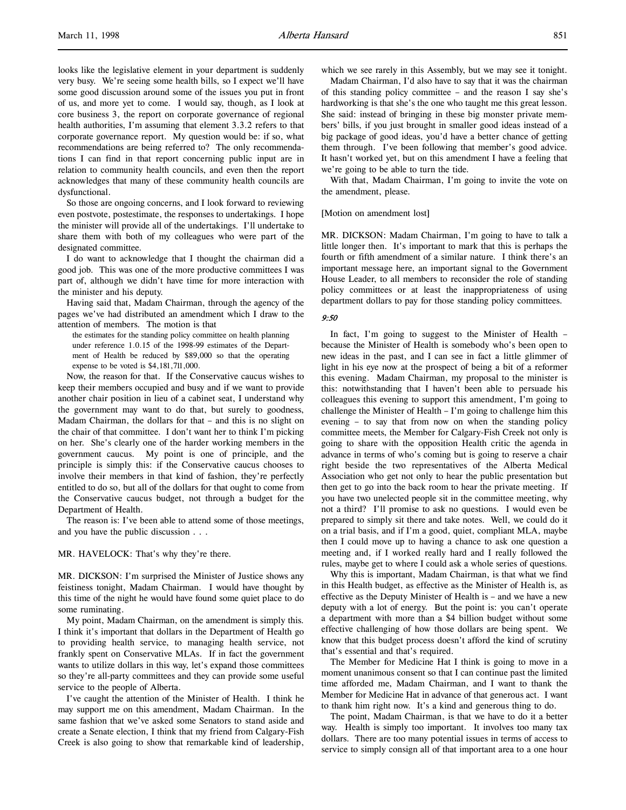looks like the legislative element in your department is suddenly very busy. We're seeing some health bills, so I expect we'll have some good discussion around some of the issues you put in front of us, and more yet to come. I would say, though, as I look at core business 3, the report on corporate governance of regional health authorities, I'm assuming that element 3.3.2 refers to that corporate governance report. My question would be: if so, what recommendations are being referred to? The only recommendations I can find in that report concerning public input are in relation to community health councils, and even then the report acknowledges that many of these community health councils are dysfunctional.

So those are ongoing concerns, and I look forward to reviewing even postvote, postestimate, the responses to undertakings. I hope the minister will provide all of the undertakings. I'll undertake to share them with both of my colleagues who were part of the designated committee.

I do want to acknowledge that I thought the chairman did a good job. This was one of the more productive committees I was part of, although we didn't have time for more interaction with the minister and his deputy.

Having said that, Madam Chairman, through the agency of the pages we've had distributed an amendment which I draw to the attention of members. The motion is that

the estimates for the standing policy committee on health planning under reference 1.0.15 of the 1998-99 estimates of the Department of Health be reduced by \$89,000 so that the operating expense to be voted is \$4,181,711,000.

Now, the reason for that. If the Conservative caucus wishes to keep their members occupied and busy and if we want to provide another chair position in lieu of a cabinet seat, I understand why the government may want to do that, but surely to goodness, Madam Chairman, the dollars for that – and this is no slight on the chair of that committee. I don't want her to think I'm picking on her. She's clearly one of the harder working members in the government caucus. My point is one of principle, and the principle is simply this: if the Conservative caucus chooses to involve their members in that kind of fashion, they're perfectly entitled to do so, but all of the dollars for that ought to come from the Conservative caucus budget, not through a budget for the Department of Health.

The reason is: I've been able to attend some of those meetings, and you have the public discussion . . .

MR. HAVELOCK: That's why they're there.

MR. DICKSON: I'm surprised the Minister of Justice shows any feistiness tonight, Madam Chairman. I would have thought by this time of the night he would have found some quiet place to do some ruminating.

My point, Madam Chairman, on the amendment is simply this. I think it's important that dollars in the Department of Health go to providing health service, to managing health service, not frankly spent on Conservative MLAs. If in fact the government wants to utilize dollars in this way, let's expand those committees so they're all-party committees and they can provide some useful service to the people of Alberta.

I've caught the attention of the Minister of Health. I think he may support me on this amendment, Madam Chairman. In the same fashion that we've asked some Senators to stand aside and create a Senate election, I think that my friend from Calgary-Fish Creek is also going to show that remarkable kind of leadership,

which we see rarely in this Assembly, but we may see it tonight.

Madam Chairman, I'd also have to say that it was the chairman of this standing policy committee – and the reason I say she's hardworking is that she's the one who taught me this great lesson. She said: instead of bringing in these big monster private members' bills, if you just brought in smaller good ideas instead of a big package of good ideas, you'd have a better chance of getting them through. I've been following that member's good advice. It hasn't worked yet, but on this amendment I have a feeling that we're going to be able to turn the tide.

With that, Madam Chairman, I'm going to invite the vote on the amendment, please.

#### [Motion on amendment lost]

MR. DICKSON: Madam Chairman, I'm going to have to talk a little longer then. It's important to mark that this is perhaps the fourth or fifth amendment of a similar nature. I think there's an important message here, an important signal to the Government House Leader, to all members to reconsider the role of standing policy committees or at least the inappropriateness of using department dollars to pay for those standing policy committees.

#### 9:50

In fact, I'm going to suggest to the Minister of Health – because the Minister of Health is somebody who's been open to new ideas in the past, and I can see in fact a little glimmer of light in his eye now at the prospect of being a bit of a reformer this evening. Madam Chairman, my proposal to the minister is this: notwithstanding that I haven't been able to persuade his colleagues this evening to support this amendment, I'm going to challenge the Minister of Health – I'm going to challenge him this evening – to say that from now on when the standing policy committee meets, the Member for Calgary-Fish Creek not only is going to share with the opposition Health critic the agenda in advance in terms of who's coming but is going to reserve a chair right beside the two representatives of the Alberta Medical Association who get not only to hear the public presentation but then get to go into the back room to hear the private meeting. If you have two unelected people sit in the committee meeting, why not a third? I'll promise to ask no questions. I would even be prepared to simply sit there and take notes. Well, we could do it on a trial basis, and if I'm a good, quiet, compliant MLA, maybe then I could move up to having a chance to ask one question a meeting and, if I worked really hard and I really followed the rules, maybe get to where I could ask a whole series of questions.

Why this is important, Madam Chairman, is that what we find in this Health budget, as effective as the Minister of Health is, as effective as the Deputy Minister of Health is – and we have a new deputy with a lot of energy. But the point is: you can't operate a department with more than a \$4 billion budget without some effective challenging of how those dollars are being spent. We know that this budget process doesn't afford the kind of scrutiny that's essential and that's required.

The Member for Medicine Hat I think is going to move in a moment unanimous consent so that I can continue past the limited time afforded me, Madam Chairman, and I want to thank the Member for Medicine Hat in advance of that generous act. I want to thank him right now. It's a kind and generous thing to do.

The point, Madam Chairman, is that we have to do it a better way. Health is simply too important. It involves too many tax dollars. There are too many potential issues in terms of access to service to simply consign all of that important area to a one hour